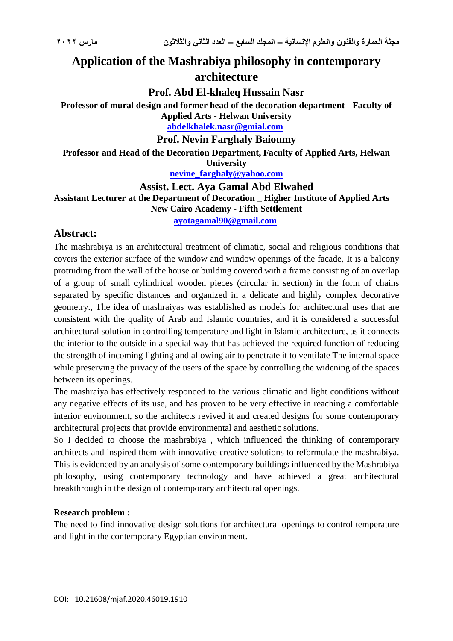# **Application of the Mashrabiya philosophy in contemporary architecture**

**Prof. Abd El-khaleq Hussain Nasr**

**Professor of mural design and former head of the decoration department - Faculty of Applied Arts - Helwan University**

**[abdelkhalek.nasr@gmial.com](mailto:abdelkhalek.nasr@gmial.com)**

**Prof. Nevin Farghaly Baioumy**

**Professor and Head of the Decoration Department, Faculty of Applied Arts, Helwan University**

**[nevine\\_farghaly@yahoo.com](mailto:nevine_farghaly@yahoo.com)**

**Assist. Lect. Aya Gamal Abd Elwahed Assistant Lecturer at the Department of Decoration \_ Higher Institute of Applied Arts New Cairo Academy - Fifth Settlement**

**[ayotagamal90@gmail.com](mailto:ayotagamal90@gmail.com)**

# **Abstract:**

The mashrabiya is an architectural treatment of climatic, social and religious conditions that covers the exterior surface of the window and window openings of the facade, It is a balcony protruding from the wall of the house or building covered with a frame consisting of an overlap of a group of small cylindrical wooden pieces (circular in section) in the form of chains separated by specific distances and organized in a delicate and highly complex decorative geometry., The idea of mashraiyas was established as models for architectural uses that are consistent with the quality of Arab and Islamic countries, and it is considered a successful architectural solution in controlling temperature and light in Islamic architecture, as it connects the interior to the outside in a special way that has achieved the required function of reducing the strength of incoming lighting and allowing air to penetrate it to ventilate The internal space while preserving the privacy of the users of the space by controlling the widening of the spaces between its openings.

The mashraiya has effectively responded to the various climatic and light conditions without any negative effects of its use, and has proven to be very effective in reaching a comfortable interior environment, so the architects revived it and created designs for some contemporary architectural projects that provide environmental and aesthetic solutions.

So I decided to choose the mashrabiya , which influenced the thinking of contemporary architects and inspired them with innovative creative solutions to reformulate the mashrabiya. This is evidenced by an analysis of some contemporary buildings influenced by the Mashrabiya philosophy, using contemporary technology and have achieved a great architectural breakthrough in the design of contemporary architectural openings.

#### **Research problem :**

The need to find innovative design solutions for architectural openings to control temperature and light in the contemporary Egyptian environment.